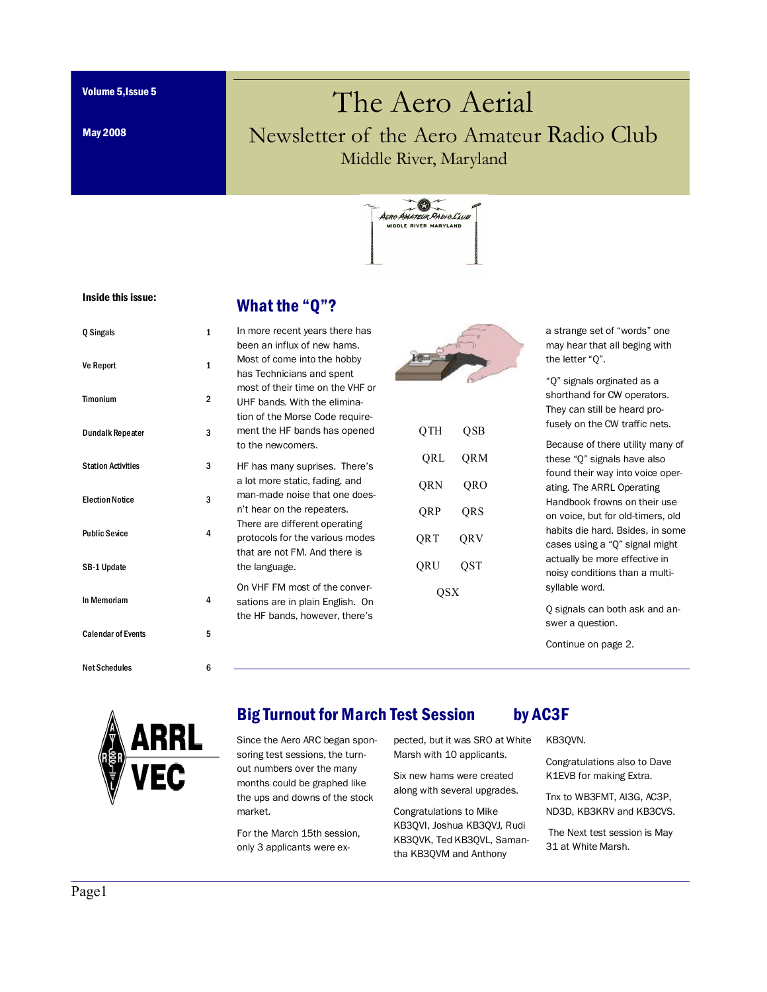Volume 5,Issue 5

May 2008

# The Aero Aerial Newsletter of the Aero Amateur Radio Club Middle River, Maryland



#### Inside this issue:

#### What the "Q"?

| Q Singals                 | 1              |
|---------------------------|----------------|
| <b>Ve Report</b>          | 1              |
| Timonium                  | $\overline{2}$ |
| <b>Dundalk Repeater</b>   | 3              |
| <b>Station Activities</b> | 3              |
| <b>Election Notice</b>    | 3              |
| <b>Public Sevice</b>      | 4              |
| SB-1 Update               |                |
| In Memoriam               | 4              |
| <b>Calendar of Events</b> | 5              |
| <b>Net Schedules</b>      | 6              |

| In more recent years there has   |
|----------------------------------|
| been an influx of new hams.      |
| Most of come into the hobby      |
| has Technicians and spent        |
| most of their time on the VHF or |
| UHF bands. With the elimina-     |
| tion of the Morse Code require-  |
| ment the HF bands has opened     |
| to the newcomers.                |
| HF has many suprises. There's    |
| a lot more static, fading, and   |
| man-made noise that one does-    |
| n't hear on the repeaters.       |
| There are different operating    |
| protocols for the various modes  |
| that are not FM. And there is    |
| the language.                    |
| On VHF FM most of the conver-    |
| sations are in plain English. On |
| the HF bands, however, there's   |



| QTH | QSB |  |  |  |
|-----|-----|--|--|--|
| QRL | QRM |  |  |  |
| QRN | QRO |  |  |  |
| QRP | QRS |  |  |  |
| QRT | QRV |  |  |  |
| QRU | QST |  |  |  |
| QSX |     |  |  |  |

a strange set of "words" one may hear that all beging with the letter "Q".

"Q" signals orginated as a shorthand for CW operators. They can still be heard profusely on the CW traffic nets.

Because of there utility many of these "Q" signals have also found their way into voice operating. The ARRL Operating Handbook frowns on their use on voice, but for old-timers, old habits die hard. Bsides, in some cases using a "Q" signal might actually be more effective in noisy conditions than a multisyllable word.

Q signals can both ask and answer a question.

Continue on page 2.



#### Big Turnout for March Test Session by AC3F

Since the Aero ARC began sponsoring test sessions, the turnout numbers over the many months could be graphed like the ups and downs of the stock market.

For the March 15th session, only 3 applicants were expected, but it was SRO at White Marsh with 10 applicants.

Six new hams were created along with several upgrades.

Congratulations to Mike KB3QVI, Joshua KB3QVJ, Rudi KB3QVK, Ted KB3QVL, Samantha KB3QVM and Anthony

KB3QVN.

Congratulations also to Dave K1EVB for making Extra.

Tnx to WB3FMT, AI3G, AC3P, ND3D, KB3KRV and KB3CVS.

 The Next test session is May 31 at White Marsh.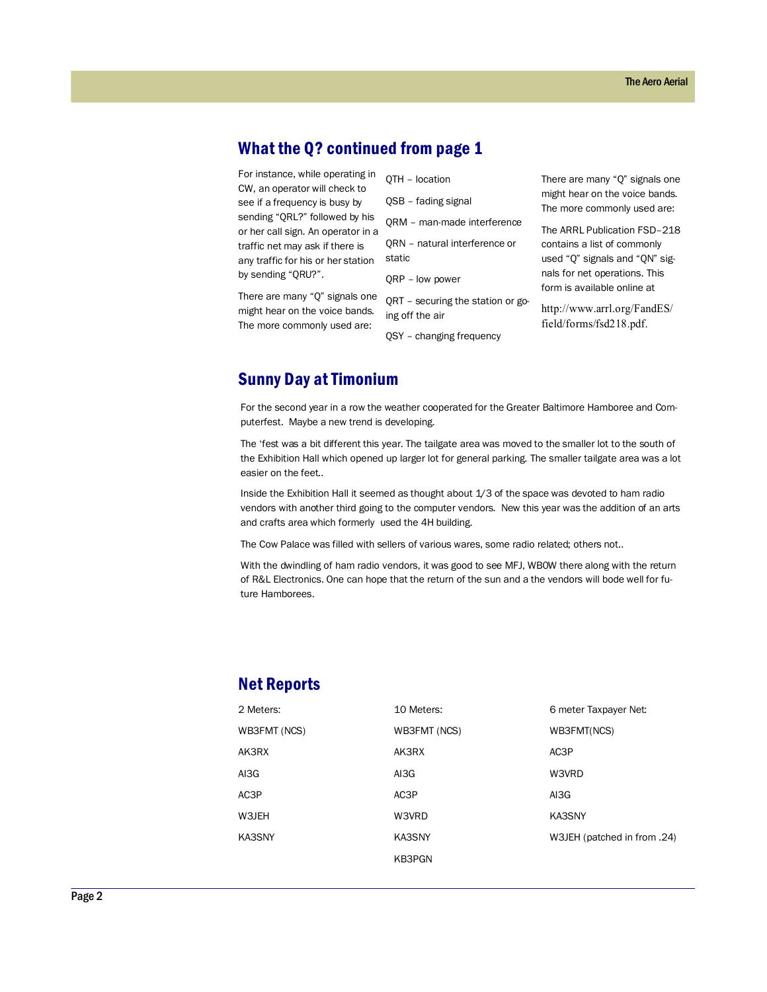# What the Q? continued from page 1

For instance, while operating in QTH - location CW, an operator will check to see if a frequency is busy by sending "QRL?" followed by his or her call sign. An operator in a traffic net may ask if there is any traffic for his or her station by sending "QRU?".

There are many "Q" signals one might hear on the voice bands. The more commonly used are:

|  | QTH - lucation |
|--|----------------|
|  |                |

- QSB fading signal
- QRM man-made interference

QRN – natural interference or static

QRP – low power

QRT – securing the station or going off the air

QSY – changing frequency

There are many "Q" signals one might hear on the voice bands. The more commonly used are:

The ARRL Publication FSD–218 contains a list of commonly used "Q" signals and "QN" signals for net operations. This form is available online at

http://www.arrl.org/FandES/ field/forms/fsd218.pdf.

#### Sunny Day at Timonium

For the second year in a row the weather cooperated for the Greater Baltimore Hamboree and Computerfest. Maybe a new trend is developing.

The 'fest was a bit different this year. The tailgate area was moved to the smaller lot to the south of the Exhibition Hall which opened up larger lot for general parking. The smaller tailgate area was a lot easier on the feet..

Inside the Exhibition Hall it seemed as thought about 1/3 of the space was devoted to ham radio vendors with another third going to the computer vendors. New this year was the addition of an arts and crafts area which formerly used the 4H building.

The Cow Palace was filled with sellers of various wares, some radio related; others not..

With the dwindling of ham radio vendors, it was good to see MFJ, WB0W there along with the return of R&L Electronics. One can hope that the return of the sun and a the vendors will bode well for future Hamborees.

#### Net Reports

| 2 Meters:    | 10 Meters:   | 6 meter Taxpayer Net:       |
|--------------|--------------|-----------------------------|
| WB3FMT (NCS) | WB3FMT (NCS) | WB3FMT(NCS)                 |
| AK3RX        | AK3RX        | AC3P                        |
| AI3G         | AI3G         | W3VRD                       |
| AC3P         | AC3P         | AI3G                        |
| W3JEH        | W3VRD        | KA3SNY                      |
| KA3SNY       | KA3SNY       | W3JEH (patched in from .24) |
|              | KB3PGN       |                             |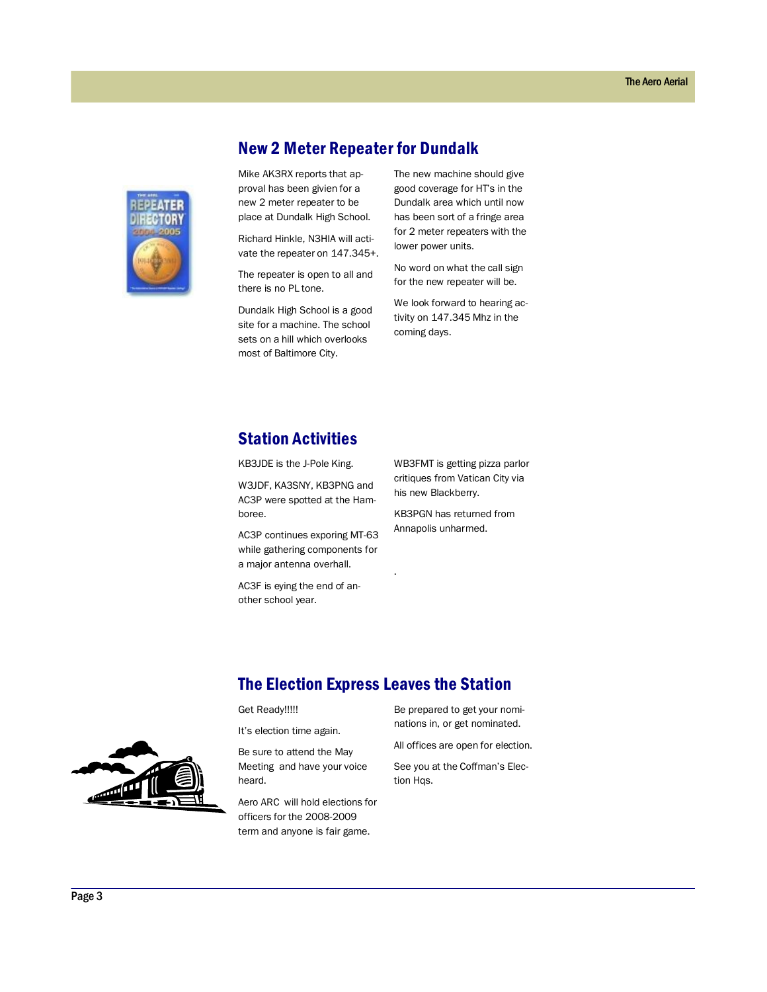

New 2 Meter Repeater for Dundalk

Mike AK3RX reports that approval has been givien for a new 2 meter repeater to be place at Dundalk High School.

Richard Hinkle, N3HIA will activate the repeater on 147.345+.

The repeater is open to all and there is no PL tone.

Dundalk High School is a good site for a machine. The school sets on a hill which overlooks most of Baltimore City.

The new machine should give good coverage for HT's in the Dundalk area which until now has been sort of a fringe area for 2 meter repeaters with the lower power units.

No word on what the call sign for the new repeater will be.

We look forward to hearing activity on 147.345 Mhz in the coming days.

### Station Activities

KB3JDE is the J-Pole King.

W3JDF, KA3SNY, KB3PNG and AC3P were spotted at the Hamboree.

AC3P continues exporing MT-63 while gathering components for a major antenna overhall.

AC3F is eying the end of another school year.

WB3FMT is getting pizza parlor critiques from Vatican City via his new Blackberry.

KB3PGN has returned from Annapolis unharmed.

#### The Election Express Leaves the Station

.

Get Ready!!!!!

It's election time again.

Be sure to attend the May Meeting and have your voice heard.

Aero ARC will hold elections for officers for the 2008-2009 term and anyone is fair game.

Be prepared to get your nominations in, or get nominated.

All offices are open for election.

See you at the Coffman's Election Hqs.

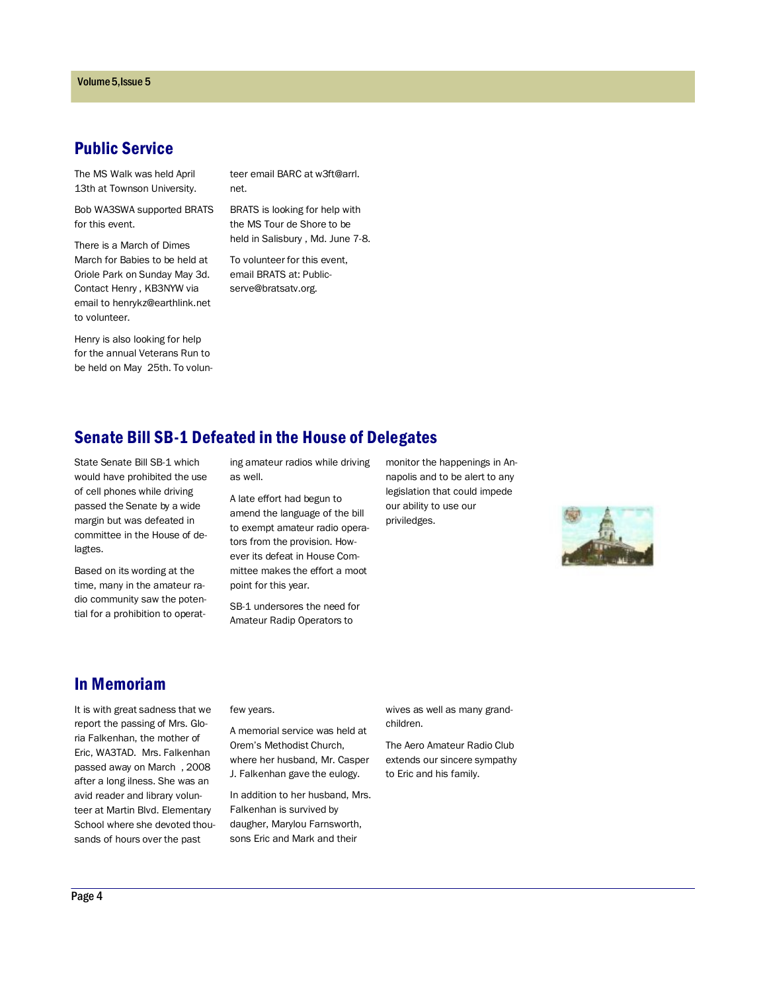#### Public Service

The MS Walk was held April 13th at Townson University.

Bob WA3SWA supported BRATS for this event.

There is a March of Dimes March for Babies to be held at Oriole Park on Sunday May 3d. Contact Henry , KB3NYW via email to henrykz@earthlink.net to volunteer.

Henry is also looking for help for the annual Veterans Run to be held on May 25th. To volunteer email BARC at w3ft@arrl. net.

BRATS is looking for help with the MS Tour de Shore to be held in Salisbury , Md. June 7-8.

To volunteer for this event, email BRATS at: Publicserve@bratsatv.org.

# Senate Bill SB-1 Defeated in the House of Delegates

State Senate Bill SB-1 which would have prohibited the use of cell phones while driving passed the Senate by a wide margin but was defeated in committee in the House of delagtes.

Based on its wording at the time, many in the amateur radio community saw the potential for a prohibition to operating amateur radios while driving as well.

A late effort had begun to amend the language of the bill to exempt amateur radio operators from the provision. However its defeat in House Committee makes the effort a moot point for this year.

SB-1 undersores the need for Amateur Radip Operators to

monitor the happenings in Annapolis and to be alert to any legislation that could impede our ability to use our priviledges.



#### In Memoriam

It is with great sadness that we report the passing of Mrs. Gloria Falkenhan, the mother of Eric, WA3TAD. Mrs. Falkenhan passed away on March , 2008 after a long ilness. She was an avid reader and library volunteer at Martin Blvd. Elementary School where she devoted thousands of hours over the past

few years.

A memorial service was held at Orem's Methodist Church, where her husband, Mr. Casper J. Falkenhan gave the eulogy.

In addition to her husband, Mrs. Falkenhan is survived by daugher, Marylou Farnsworth, sons Eric and Mark and their

wives as well as many grandchildren.

The Aero Amateur Radio Club extends our sincere sympathy to Eric and his family.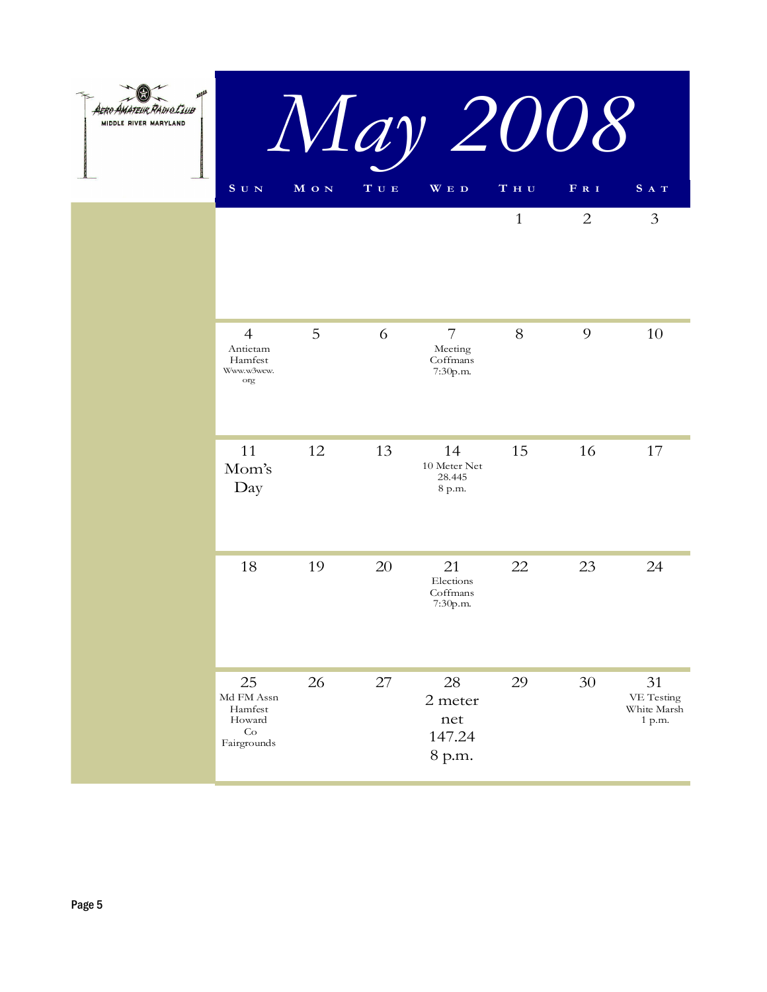| <i>AMATEUR RADIO LLUB</i><br>MIDDLE RIVER MARYLAND |                                                            |       |                           | May 2008                                          |                                     |                |                                           |
|----------------------------------------------------|------------------------------------------------------------|-------|---------------------------|---------------------------------------------------|-------------------------------------|----------------|-------------------------------------------|
|                                                    | S U N                                                      | M O N | $\mathbf T$ U $\mathbf E$ | WED                                               | $\mathbf T$ $\mathbf H$ $\mathbf U$ | F R I          | SAT                                       |
|                                                    |                                                            |       |                           |                                                   | $\mathbf{1}$                        | $\overline{2}$ | 3                                         |
|                                                    | $\overline{4}$<br>Antietam<br>Hamfest<br>Www.w3wcw.<br>org | 5     | 6                         | $\overline{7}$<br>Meeting<br>Coffmans<br>7:30p.m. | 8                                   | 9              | 10                                        |
|                                                    | 11<br>Mom's<br>Day                                         | 12    | 13                        | 14<br>10 Meter Net<br>28.445<br>8 p.m.            | 15                                  | 16             | 17                                        |
|                                                    | 18                                                         | 19    | 20                        | 21<br>Elections<br>Coffmans<br>7:30p.m.           | 22                                  | 23             | 24                                        |
|                                                    | 25<br>Md FM Assn<br>Hamfest<br>Howard<br>Co<br>Fairorounds | 26    | 27                        | 28<br>2 meter<br>net<br>147.24                    | 29                                  | 30             | 31<br>VE Testing<br>White Marsh<br>1 p.m. |

8 p.m.

Fairgrounds